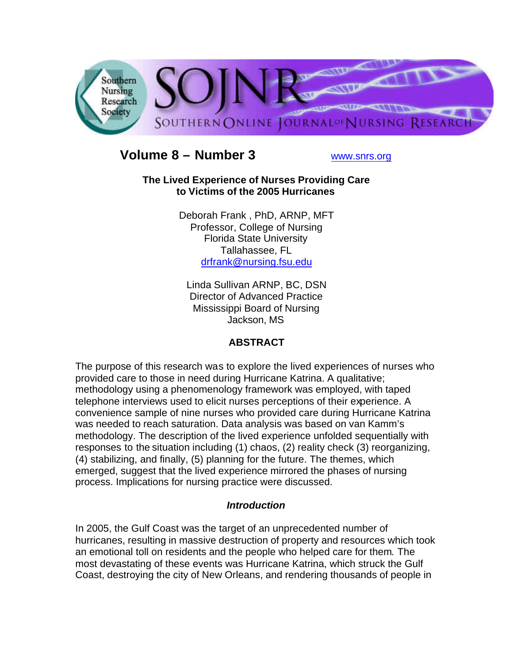

# **Volume 8 – Number 3** www.snrs.org

#### **The Lived Experience of Nurses Providing Care to Victims of the 2005 Hurricanes**

Deborah Frank , PhD, ARNP, MFT Professor, College of Nursing Florida State University Tallahassee, FL drfrank@nursing.fsu.edu

Linda Sullivan ARNP, BC, DSN Director of Advanced Practice Mississippi Board of Nursing Jackson, MS

## **ABSTRACT**

The purpose of this research was to explore the lived experiences of nurses who provided care to those in need during Hurricane Katrina. A qualitative; methodology using a phenomenology framework was employed, with taped telephone interviews used to elicit nurses perceptions of their experience. A convenience sample of nine nurses who provided care during Hurricane Katrina was needed to reach saturation. Data analysis was based on van Kamm's methodology. The description of the lived experience unfolded sequentially with responses to the situation including (1) chaos, (2) reality check (3) reorganizing, (4) stabilizing, and finally, (5) planning for the future. The themes, which emerged, suggest that the lived experience mirrored the phases of nursing process. Implications for nursing practice were discussed.

## *Introduction*

In 2005, the Gulf Coast was the target of an unprecedented number of hurricanes, resulting in massive destruction of property and resources which took an emotional toll on residents and the people who helped care for them. The most devastating of these events was Hurricane Katrina, which struck the Gulf Coast, destroying the city of New Orleans, and rendering thousands of people in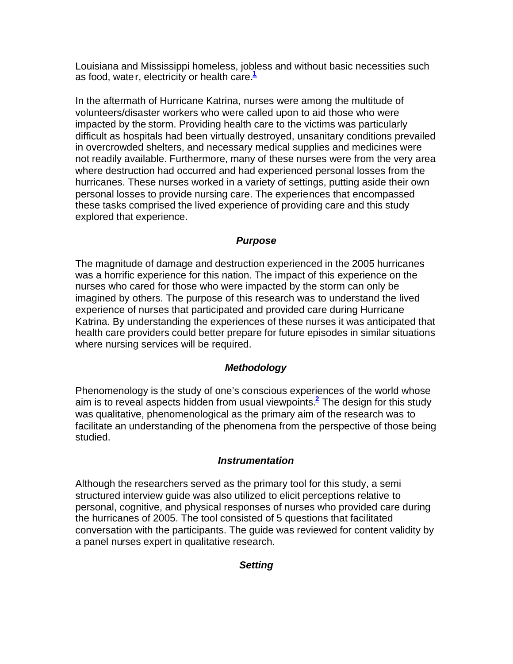Louisiana and Mississippi homeless, jobless and without basic necessities such as food, water, electricity or health care.**<sup>1</sup>**

In the aftermath of Hurricane Katrina, nurses were among the multitude of volunteers/disaster workers who were called upon to aid those who were impacted by the storm. Providing health care to the victims was particularly difficult as hospitals had been virtually destroyed, unsanitary conditions prevailed in overcrowded shelters, and necessary medical supplies and medicines were not readily available. Furthermore, many of these nurses were from the very area where destruction had occurred and had experienced personal losses from the hurricanes. These nurses worked in a variety of settings, putting aside their own personal losses to provide nursing care. The experiences that encompassed these tasks comprised the lived experience of providing care and this study explored that experience.

## *Purpose*

The magnitude of damage and destruction experienced in the 2005 hurricanes was a horrific experience for this nation. The impact of this experience on the nurses who cared for those who were impacted by the storm can only be imagined by others. The purpose of this research was to understand the lived experience of nurses that participated and provided care during Hurricane Katrina. By understanding the experiences of these nurses it was anticipated that health care providers could better prepare for future episodes in similar situations where nursing services will be required.

## *Methodology*

Phenomenology is the study of one's conscious experiences of the world whose aim is to reveal aspects hidden from usual viewpoints.**<sup>2</sup>** The design for this study was qualitative, phenomenological as the primary aim of the research was to facilitate an understanding of the phenomena from the perspective of those being studied.

## *Instrumentation*

Although the researchers served as the primary tool for this study, a semi structured interview guide was also utilized to elicit perceptions relative to personal, cognitive, and physical responses of nurses who provided care during the hurricanes of 2005. The tool consisted of 5 questions that facilitated conversation with the participants. The guide was reviewed for content validity by a panel nurses expert in qualitative research.

## *Setting*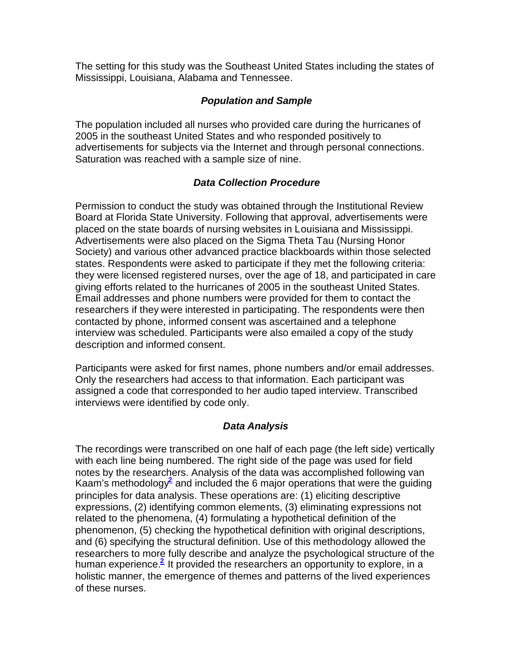The setting for this study was the Southeast United States including the states of Mississippi, Louisiana, Alabama and Tennessee.

### *Population and Sample*

The population included all nurses who provided care during the hurricanes of 2005 in the southeast United States and who responded positively to advertisements for subjects via the Internet and through personal connections. Saturation was reached with a sample size of nine.

### *Data Collection Procedure*

Permission to conduct the study was obtained through the Institutional Review Board at Florida State University. Following that approval, advertisements were placed on the state boards of nursing websites in Louisiana and Mississippi. Advertisements were also placed on the Sigma Theta Tau (Nursing Honor Society) and various other advanced practice blackboards within those selected states. Respondents were asked to participate if they met the following criteria: they were licensed registered nurses, over the age of 18, and participated in care giving efforts related to the hurricanes of 2005 in the southeast United States. Email addresses and phone numbers were provided for them to contact the researchers if they were interested in participating. The respondents were then contacted by phone, informed consent was ascertained and a telephone interview was scheduled. Participants were also emailed a copy of the study description and informed consent.

Participants were asked for first names, phone numbers and/or email addresses. Only the researchers had access to that information. Each participant was assigned a code that corresponded to her audio taped interview. Transcribed interviews were identified by code only.

## *Data Analysis*

The recordings were transcribed on one half of each page (the left side) vertically with each line being numbered. The right side of the page was used for field notes by the researchers. Analysis of the data was accomplished following van Kaam's methodology<sup>2</sup> and included the 6 major operations that were the guiding principles for data analysis. These operations are: (1) eliciting descriptive expressions, (2) identifying common elements, (3) eliminating expressions not related to the phenomena, (4) formulating a hypothetical definition of the phenomenon, (5) checking the hypothetical definition with original descriptions, and (6) specifying the structural definition. Use of this methodology allowed the researchers to more fully describe and analyze the psychological structure of the human experience.<sup>2</sup> It provided the researchers an opportunity to explore, in a holistic manner, the emergence of themes and patterns of the lived experiences of these nurses.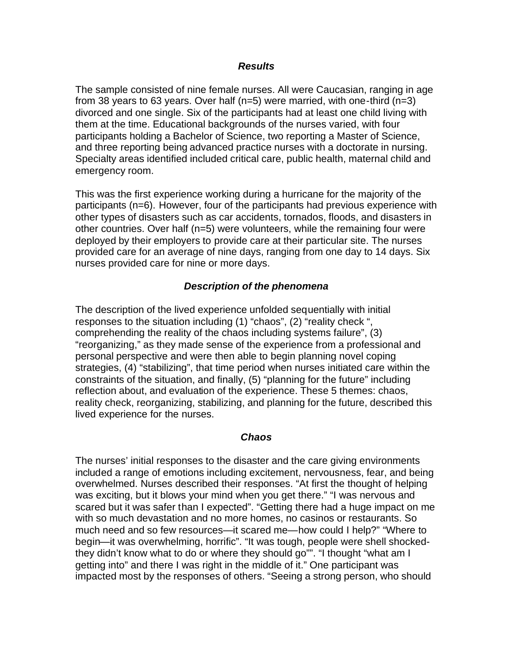#### *Results*

The sample consisted of nine female nurses. All were Caucasian, ranging in age from 38 years to 63 years. Over half (n=5) were married, with one-third (n=3) divorced and one single. Six of the participants had at least one child living with them at the time. Educational backgrounds of the nurses varied, with four participants holding a Bachelor of Science, two reporting a Master of Science, and three reporting being advanced practice nurses with a doctorate in nursing. Specialty areas identified included critical care, public health, maternal child and emergency room.

This was the first experience working during a hurricane for the majority of the participants (n=6). However, four of the participants had previous experience with other types of disasters such as car accidents, tornados, floods, and disasters in other countries. Over half (n=5) were volunteers, while the remaining four were deployed by their employers to provide care at their particular site. The nurses provided care for an average of nine days, ranging from one day to 14 days. Six nurses provided care for nine or more days.

### *Description of the phenomena*

The description of the lived experience unfolded sequentially with initial responses to the situation including (1) "chaos", (2) "reality check ", comprehending the reality of the chaos including systems failure", (3) "reorganizing," as they made sense of the experience from a professional and personal perspective and were then able to begin planning novel coping strategies, (4) "stabilizing", that time period when nurses initiated care within the constraints of the situation, and finally, (5) "planning for the future" including reflection about, and evaluation of the experience. These 5 themes: chaos, reality check, reorganizing, stabilizing, and planning for the future, described this lived experience for the nurses.

#### *Chaos*

The nurses' initial responses to the disaster and the care giving environments included a range of emotions including excitement, nervousness, fear, and being overwhelmed. Nurses described their responses. "At first the thought of helping was exciting, but it blows your mind when you get there." "I was nervous and scared but it was safer than I expected". "Getting there had a huge impact on me with so much devastation and no more homes, no casinos or restaurants. So much need and so few resources—it scared me—how could I help?" "Where to begin—it was overwhelming, horrific". "It was tough, people were shell shockedthey didn't know what to do or where they should go"". "I thought "what am I getting into" and there I was right in the middle of it." One participant was impacted most by the responses of others. "Seeing a strong person, who should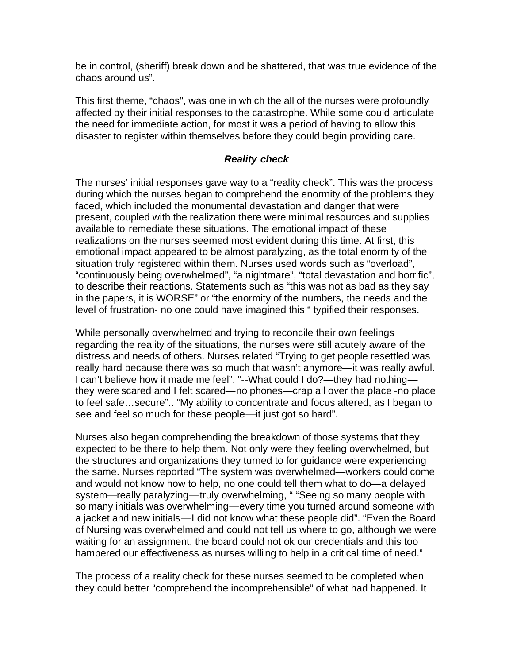be in control, (sheriff) break down and be shattered, that was true evidence of the chaos around us".

This first theme, "chaos", was one in which the all of the nurses were profoundly affected by their initial responses to the catastrophe. While some could articulate the need for immediate action, for most it was a period of having to allow this disaster to register within themselves before they could begin providing care.

#### *Reality check*

The nurses' initial responses gave way to a "reality check". This was the process during which the nurses began to comprehend the enormity of the problems they faced, which included the monumental devastation and danger that were present, coupled with the realization there were minimal resources and supplies available to remediate these situations. The emotional impact of these realizations on the nurses seemed most evident during this time. At first, this emotional impact appeared to be almost paralyzing, as the total enormity of the situation truly registered within them. Nurses used words such as "overload", "continuously being overwhelmed", "a nightmare", "total devastation and horrific", to describe their reactions. Statements such as "this was not as bad as they say in the papers, it is WORSE" or "the enormity of the numbers, the needs and the level of frustration- no one could have imagined this " typified their responses.

While personally overwhelmed and trying to reconcile their own feelings regarding the reality of the situations, the nurses were still acutely aware of the distress and needs of others. Nurses related "Trying to get people resettled was really hard because there was so much that wasn't anymore—it was really awful. I can't believe how it made me feel". "--What could I do?—they had nothing they were scared and I felt scared—no phones—crap all over the place -no place to feel safe…secure".. "My ability to concentrate and focus altered, as I began to see and feel so much for these people—it just got so hard".

Nurses also began comprehending the breakdown of those systems that they expected to be there to help them. Not only were they feeling overwhelmed, but the structures and organizations they turned to for guidance were experiencing the same. Nurses reported "The system was overwhelmed—workers could come and would not know how to help, no one could tell them what to do—a delayed system—really paralyzing—truly overwhelming, " "Seeing so many people with so many initials was overwhelming—every time you turned around someone with a jacket and new initials—I did not know what these people did". "Even the Board of Nursing was overwhelmed and could not tell us where to go, although we were waiting for an assignment, the board could not ok our credentials and this too hampered our effectiveness as nurses willing to help in a critical time of need."

The process of a reality check for these nurses seemed to be completed when they could better "comprehend the incomprehensible" of what had happened. It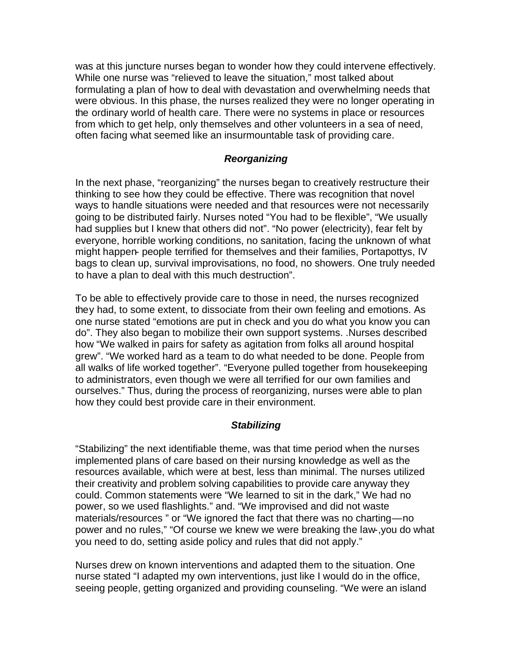was at this juncture nurses began to wonder how they could intervene effectively. While one nurse was "relieved to leave the situation," most talked about formulating a plan of how to deal with devastation and overwhelming needs that were obvious. In this phase, the nurses realized they were no longer operating in the ordinary world of health care. There were no systems in place or resources from which to get help, only themselves and other volunteers in a sea of need, often facing what seemed like an insurmountable task of providing care.

#### *Reorganizing*

In the next phase, "reorganizing" the nurses began to creatively restructure their thinking to see how they could be effective. There was recognition that novel ways to handle situations were needed and that resources were not necessarily going to be distributed fairly. Nurses noted "You had to be flexible", "We usually had supplies but I knew that others did not". "No power (electricity), fear felt by everyone, horrible working conditions, no sanitation, facing the unknown of what might happen- people terrified for themselves and their families, Portapottys, IV bags to clean up, survival improvisations, no food, no showers. One truly needed to have a plan to deal with this much destruction".

To be able to effectively provide care to those in need, the nurses recognized they had, to some extent, to dissociate from their own feeling and emotions. As one nurse stated "emotions are put in check and you do what you know you can do". They also began to mobilize their own support systems. .Nurses described how "We walked in pairs for safety as agitation from folks all around hospital grew". "We worked hard as a team to do what needed to be done. People from all walks of life worked together". "Everyone pulled together from housekeeping to administrators, even though we were all terrified for our own families and ourselves." Thus, during the process of reorganizing, nurses were able to plan how they could best provide care in their environment.

#### *Stabilizing*

"Stabilizing" the next identifiable theme, was that time period when the nurses implemented plans of care based on their nursing knowledge as well as the resources available, which were at best, less than minimal. The nurses utilized their creativity and problem solving capabilities to provide care anyway they could. Common statements were "We learned to sit in the dark," We had no power, so we used flashlights." and. "We improvised and did not waste materials/resources " or "We ignored the fact that there was no charting—no power and no rules," "Of course we knew we were breaking the law-,you do what you need to do, setting aside policy and rules that did not apply."

Nurses drew on known interventions and adapted them to the situation. One nurse stated "I adapted my own interventions, just like I would do in the office, seeing people, getting organized and providing counseling. "We were an island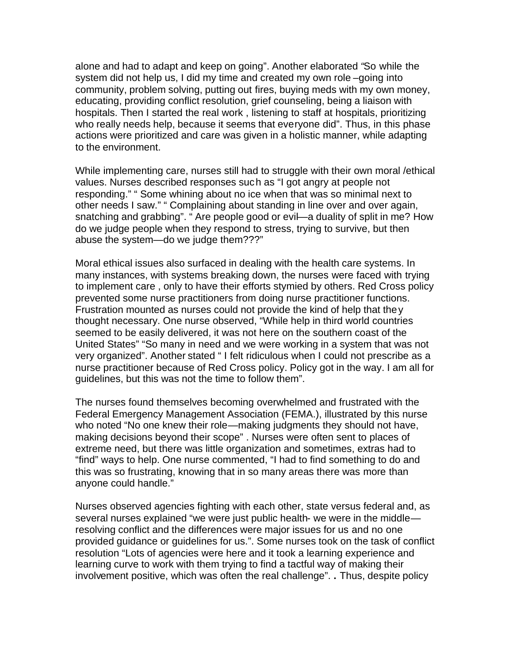alone and had to adapt and keep on going". Another elaborated *"*So while the system did not help us, I did my time and created my own role –going into community, problem solving, putting out fires, buying meds with my own money, educating, providing conflict resolution, grief counseling, being a liaison with hospitals. Then I started the real work , listening to staff at hospitals, prioritizing who really needs help, because it seems that everyone did". Thus, in this phase actions were prioritized and care was given in a holistic manner, while adapting to the environment.

While implementing care, nurses still had to struggle with their own moral /ethical values. Nurses described responses such as "I got angry at people not responding." " Some whining about no ice when that was so minimal next to other needs I saw." " Complaining about standing in line over and over again, snatching and grabbing". " Are people good or evil—a duality of split in me? How do we judge people when they respond to stress, trying to survive, but then abuse the system—do we judge them???"

Moral ethical issues also surfaced in dealing with the health care systems. In many instances, with systems breaking down, the nurses were faced with trying to implement care , only to have their efforts stymied by others. Red Cross policy prevented some nurse practitioners from doing nurse practitioner functions. Frustration mounted as nurses could not provide the kind of help that they thought necessary. One nurse observed, "While help in third world countries seemed to be easily delivered, it was not here on the southern coast of the United States" "So many in need and we were working in a system that was not very organized". Another stated " I felt ridiculous when I could not prescribe as a nurse practitioner because of Red Cross policy. Policy got in the way. I am all for guidelines, but this was not the time to follow them".

The nurses found themselves becoming overwhelmed and frustrated with the Federal Emergency Management Association (FEMA.), illustrated by this nurse who noted "No one knew their role—making judgments they should not have, making decisions beyond their scope" . Nurses were often sent to places of extreme need, but there was little organization and sometimes, extras had to "find" ways to help. One nurse commented, "I had to find something to do and this was so frustrating, knowing that in so many areas there was more than anyone could handle."

Nurses observed agencies fighting with each other, state versus federal and, as several nurses explained "we were just public health- we were in the middle resolving conflict and the differences were major issues for us and no one provided guidance or guidelines for us.". Some nurses took on the task of conflict resolution "Lots of agencies were here and it took a learning experience and learning curve to work with them trying to find a tactful way of making their involvement positive, which was often the real challenge". **.** Thus, despite policy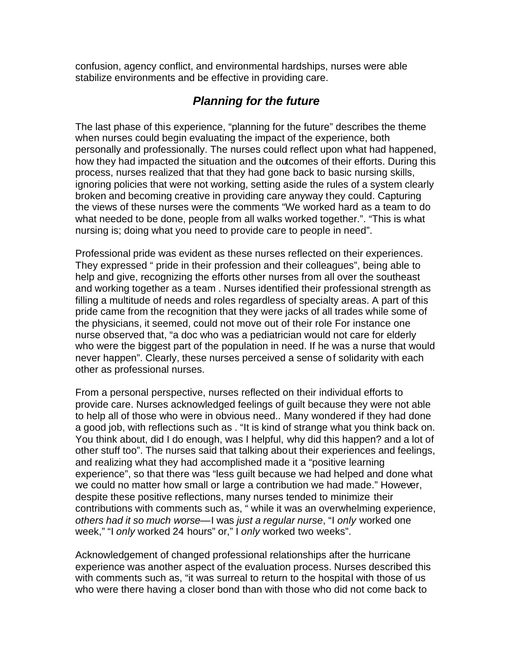confusion, agency conflict, and environmental hardships, nurses were able stabilize environments and be effective in providing care.

# *Planning for the future*

The last phase of this experience, "planning for the future" describes the theme when nurses could begin evaluating the impact of the experience, both personally and professionally. The nurses could reflect upon what had happened, how they had impacted the situation and the outcomes of their efforts. During this process, nurses realized that that they had gone back to basic nursing skills, ignoring policies that were not working, setting aside the rules of a system clearly broken and becoming creative in providing care anyway they could. Capturing the views of these nurses were the comments "We worked hard as a team to do what needed to be done, people from all walks worked together.". "This is what nursing is; doing what you need to provide care to people in need".

Professional pride was evident as these nurses reflected on their experiences. They expressed " pride in their profession and their colleagues", being able to help and give, recognizing the efforts other nurses from all over the southeast and working together as a team . Nurses identified their professional strength as filling a multitude of needs and roles regardless of specialty areas. A part of this pride came from the recognition that they were jacks of all trades while some of the physicians, it seemed, could not move out of their role For instance one nurse observed that, "a doc who was a pediatrician would not care for elderly who were the biggest part of the population in need. If he was a nurse that would never happen". Clearly, these nurses perceived a sense of solidarity with each other as professional nurses.

From a personal perspective, nurses reflected on their individual efforts to provide care. Nurses acknowledged feelings of guilt because they were not able to help all of those who were in obvious need.. Many wondered if they had done a good job, with reflections such as . "It is kind of strange what you think back on. You think about, did I do enough, was I helpful, why did this happen? and a lot of other stuff too". The nurses said that talking about their experiences and feelings, and realizing what they had accomplished made it a "positive learning experience", so that there was "less guilt because we had helped and done what we could no matter how small or large a contribution we had made." However, despite these positive reflections, many nurses tended to minimize their contributions with comments such as, " while it was an overwhelming experience, *others had it so much worse*—I was *just a regular nurse*, "I *only* worked one week," "I *only* worked 24 hours" or," I *only* worked two weeks".

Acknowledgement of changed professional relationships after the hurricane experience was another aspect of the evaluation process. Nurses described this with comments such as, "it was surreal to return to the hospital with those of us who were there having a closer bond than with those who did not come back to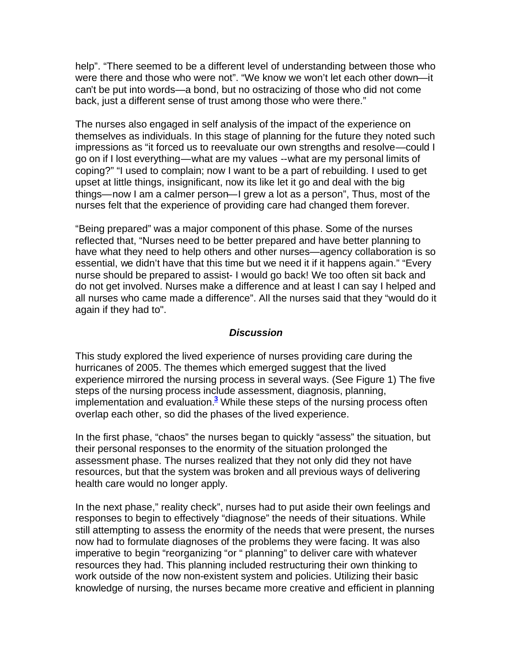help". "There seemed to be a different level of understanding between those who were there and those who were not". "We know we won't let each other down—it can't be put into words—a bond, but no ostracizing of those who did not come back, just a different sense of trust among those who were there."

The nurses also engaged in self analysis of the impact of the experience on themselves as individuals. In this stage of planning for the future they noted such impressions as "it forced us to reevaluate our own strengths and resolve—could I go on if I lost everything—what are my values --what are my personal limits of coping?" "I used to complain; now I want to be a part of rebuilding. I used to get upset at little things, insignificant, now its like let it go and deal with the big things—now I am a calmer person—I grew a lot as a person", Thus, most of the nurses felt that the experience of providing care had changed them forever.

"Being prepared" was a major component of this phase. Some of the nurses reflected that, "Nurses need to be better prepared and have better planning to have what they need to help others and other nurses—agency collaboration is so essential, we didn't have that this time but we need it if it happens again." "Every nurse should be prepared to assist- I would go back! We too often sit back and do not get involved. Nurses make a difference and at least I can say I helped and all nurses who came made a difference". All the nurses said that they "would do it again if they had to".

#### *Discussion*

This study explored the lived experience of nurses providing care during the hurricanes of 2005. The themes which emerged suggest that the lived experience mirrored the nursing process in several ways. (See Figure 1) The five steps of the nursing process include assessment, diagnosis, planning, implementation and evaluation.**<sup>3</sup>** While these steps of the nursing process often overlap each other, so did the phases of the lived experience.

In the first phase, "chaos" the nurses began to quickly "assess" the situation, but their personal responses to the enormity of the situation prolonged the assessment phase. The nurses realized that they not only did they not have resources, but that the system was broken and all previous ways of delivering health care would no longer apply.

In the next phase," reality check", nurses had to put aside their own feelings and responses to begin to effectively "diagnose" the needs of their situations. While still attempting to assess the enormity of the needs that were present, the nurses now had to formulate diagnoses of the problems they were facing. It was also imperative to begin "reorganizing "or " planning" to deliver care with whatever resources they had. This planning included restructuring their own thinking to work outside of the now non-existent system and policies. Utilizing their basic knowledge of nursing, the nurses became more creative and efficient in planning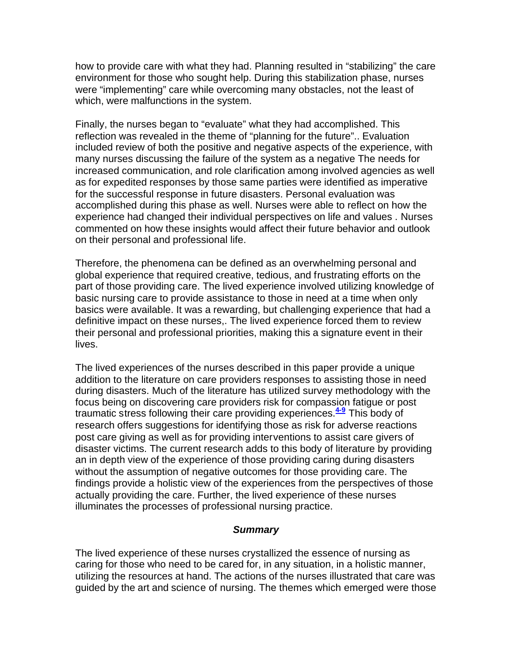how to provide care with what they had. Planning resulted in "stabilizing" the care environment for those who sought help. During this stabilization phase, nurses were "implementing" care while overcoming many obstacles, not the least of which, were malfunctions in the system.

Finally, the nurses began to "evaluate" what they had accomplished. This reflection was revealed in the theme of "planning for the future".. Evaluation included review of both the positive and negative aspects of the experience, with many nurses discussing the failure of the system as a negative The needs for increased communication, and role clarification among involved agencies as well as for expedited responses by those same parties were identified as imperative for the successful response in future disasters. Personal evaluation was accomplished during this phase as well. Nurses were able to reflect on how the experience had changed their individual perspectives on life and values . Nurses commented on how these insights would affect their future behavior and outlook on their personal and professional life.

Therefore, the phenomena can be defined as an overwhelming personal and global experience that required creative, tedious, and frustrating efforts on the part of those providing care. The lived experience involved utilizing knowledge of basic nursing care to provide assistance to those in need at a time when only basics were available. It was a rewarding, but challenging experience that had a definitive impact on these nurses,. The lived experience forced them to review their personal and professional priorities, making this a signature event in their lives.

The lived experiences of the nurses described in this paper provide a unique addition to the literature on care providers responses to assisting those in need during disasters. Much of the literature has utilized survey methodology with the focus being on discovering care providers risk for compassion fatigue or post traumatic stress following their care providing experiences.**4-9** This body of research offers suggestions for identifying those as risk for adverse reactions post care giving as well as for providing interventions to assist care givers of disaster victims. The current research adds to this body of literature by providing an in depth view of the experience of those providing caring during disasters without the assumption of negative outcomes for those providing care. The findings provide a holistic view of the experiences from the perspectives of those actually providing the care. Further, the lived experience of these nurses illuminates the processes of professional nursing practice.

#### *Summary*

The lived experience of these nurses crystallized the essence of nursing as caring for those who need to be cared for, in any situation, in a holistic manner, utilizing the resources at hand. The actions of the nurses illustrated that care was guided by the art and science of nursing. The themes which emerged were those